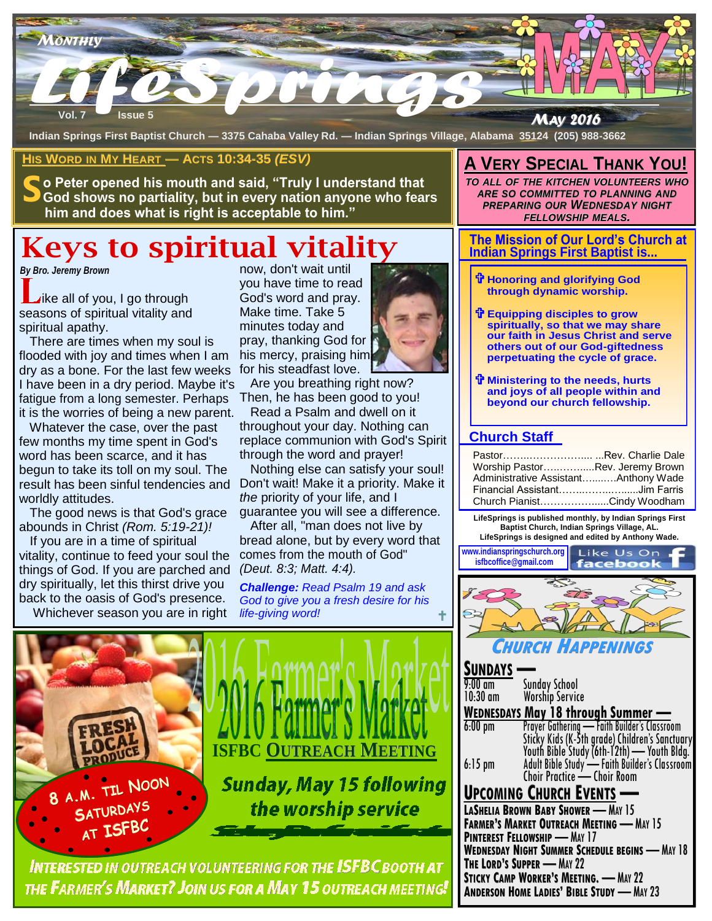

**Indian Springs First Baptist Church — 3375 Cahaba Valley Rd. — Indian Springs Village, Alabama 35124 (205) 988-3662**

### **HIS WORD IN MY HEART — ACTS 10:34-35** *(ESV)*

**S o Peter opened his mouth and said, "Truly I understand that God shows no partiality, but in every nation anyone who fears him and does what is right is acceptable to him."** 

# **Keys to spiritual vitality**

#### *By Bro. Jeremy Brown*

ike all of you, I go through seasons of spiritual vitality and spiritual apathy.

**Start of the Make times soul is and Make times soul is pray, that when I am his merced weeks for his s**<br> **Start of the SMaybe it's Are you be the SMaybe it's Are you be Premaps** dry as a bone. For the last few weeks for his steadfast love. There are times when my soul is flooded with joy and times when I am I have been in a dry period. Maybe it's fatigue from a long semester. Perhaps it is the worries of being a new parent.

 Whatever the case, over the past few months my time spent in God's word has been scarce, and it has begun to take its toll on my soul. The result has been sinful tendencies and worldly attitudes.

 The good news is that God's grace abounds in Christ *(Rom. 5:19-21)!* 

If you are in a time of spiritual vitality, continue to feed your soul the things of God. If you are parched and dry spiritually, let this thirst drive you back to the oasis of God's presence.

Whichever season you are in right

now, don't wait until you have time to read God's word and pray. Make time. Take 5 minutes today and pray, thanking God for his mercy, praising him

 Are you breathing right now? Then, he has been good to you!

 Read a Psalm and dwell on it throughout your day. Nothing can replace communion with God's Spirit through the word and prayer!

 Nothing else can satisfy your soul! Don't wait! Make it a priority. Make it *the* priority of your life, and I guarantee you will see a difference.

 After all, "man does not live by bread alone, but by every word that comes from the mouth of God" *(Deut. 8:3; Matt. 4:4).*

*Challenge: Read Psalm 19 and ask God to give you a fresh desire for his life-giving word!*



## **INTERESTED IN OUTREACH VOLUNTEERING FOR THE ISFBC BOOTH AT** THE FARMER'S MARKET? JOIN US FOR A MAY 15 OUTREACH MEETING!

## **A VERY SPECIAL THANK YOU!**

*TO ALL OF THE KITCHEN VOLUNTEERS WHO ARE SO COMMITTED TO PLANNING AND PREPARING OUR WEDNESDAY NIGHT FELLOWSHIP MEALS.* 

#### **The Mission of Our Lord's Church at Indian Springs First Baptist is...**

- **Honoring and glorifying God through dynamic worship.**
- **Equipping disciples to grow spiritually, so that we may share our faith in Jesus Christ and serve others out of our God-giftedness perpetuating the cycle of grace.**
- **Ministering to the needs, hurts and joys of all people within and beyond our church fellowship.**

## **Church Staff**

| PastorRev. Charlie Dale              |  |
|--------------------------------------|--|
| Worship PastorRev. Jeremy Brown      |  |
| Administrative AssistantAnthony Wade |  |
| Financial AssistantJim Farris        |  |
| Church PianistCindy Woodham          |  |

**LifeSprings is published monthly, by Indian Springs First Baptist Church, Indian Springs Village, AL. LifeSprings is designed and edited by Anthony Wade.** 



**CHURCH HAPPENINGS**

| <b>SUNDAYS</b>                                    |                                                                                                                                                                                                                                     |  |
|---------------------------------------------------|-------------------------------------------------------------------------------------------------------------------------------------------------------------------------------------------------------------------------------------|--|
| 9:00 am                                           |                                                                                                                                                                                                                                     |  |
| 10:30 am                                          | Sunday School<br>Worship Service                                                                                                                                                                                                    |  |
| WEDNESDAYS May 18 through Summer -                |                                                                                                                                                                                                                                     |  |
| $6:00 \text{ pm}$                                 |                                                                                                                                                                                                                                     |  |
|                                                   | <b>Prayer Gathering — Faith Builder's Classroom</b><br>Sticky Kids (K-5th grade) Children's Sanctuary<br>Youth Bible Study (6th-12th) — Youth Bldg.<br>Adult Bible Study — Faith Builder's Classroom<br>Choir Practice — Choir Room |  |
| $6:15$ pm                                         |                                                                                                                                                                                                                                     |  |
|                                                   |                                                                                                                                                                                                                                     |  |
| <b>UPCOMING CHURCH EVENTS</b>                     |                                                                                                                                                                                                                                     |  |
| <b>LASHELIA BROWN BABY SHOWER - MAY 15</b>        |                                                                                                                                                                                                                                     |  |
| <b>FARMER'S MARKET OUTREACH MEETING - MAY 15</b>  |                                                                                                                                                                                                                                     |  |
| <b>PINTEREST FELLOWSHIP - MAY 17</b>              |                                                                                                                                                                                                                                     |  |
| WEDNESDAY NIGHT SUMMER SCHEDULE BEGINS - MAY 18   |                                                                                                                                                                                                                                     |  |
| <b>THE LORD'S SUPPER - MAY 22</b>                 |                                                                                                                                                                                                                                     |  |
| <b>STICKY CAMP WORKER'S MEETING. - MAY 22</b>     |                                                                                                                                                                                                                                     |  |
| <b>ANDERSON HOME LADIES' BIBLE STUDY - MAY 23</b> |                                                                                                                                                                                                                                     |  |